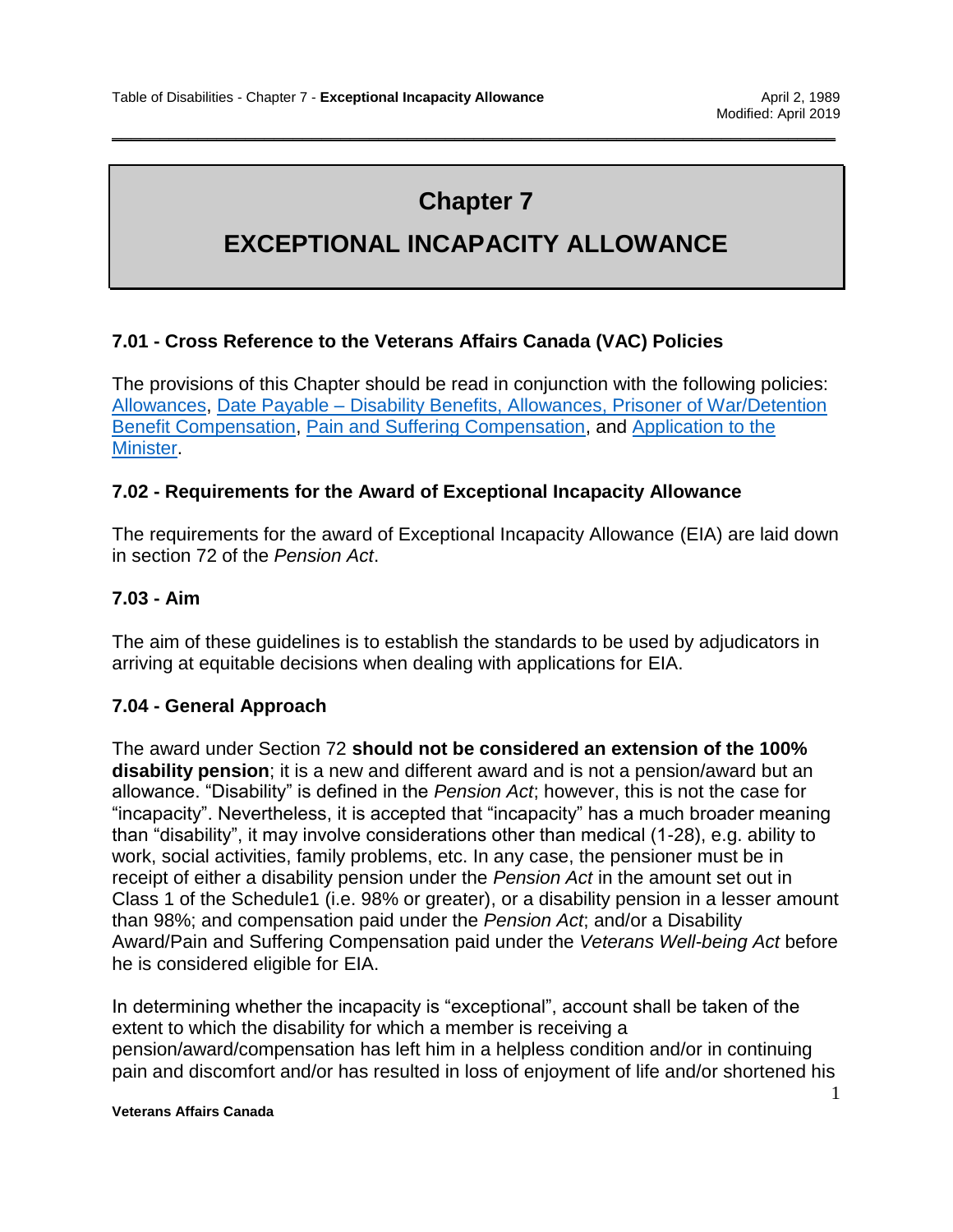# **Chapter 7**

\_\_\_\_\_\_\_\_\_\_\_\_\_\_\_\_\_\_\_\_\_\_\_\_\_\_\_\_\_\_\_\_\_\_\_\_\_\_\_\_\_\_\_\_\_\_\_\_\_\_\_\_\_\_\_\_\_\_\_\_\_\_\_\_\_\_\_\_\_\_\_\_\_\_\_\_

# **EXCEPTIONAL INCAPACITY ALLOWANCE**

## **7.01 - Cross Reference to the Veterans Affairs Canada (VAC) Policies**

The provisions of this Chapter should be read in conjunction with the following policies: [Allowances,](https://www.veterans.gc.ca/eng/about-vac/legislation-policies/policies/document/1931) Date Payable – [Disability Benefits, Allowances, Prisoner of War/Detention](https://www.veterans.gc.ca/eng/about-vac/legislation-policies/policies/document/1459)  [Benefit Compensation,](https://www.veterans.gc.ca/eng/about-vac/legislation-policies/policies/document/1459) [Pain and Suffering Compensation,](https://www.veterans.gc.ca/eng/about-vac/legislation-policies/policies/document/2826) and [Application to the](https://www.veterans.gc.ca/eng/about-vac/legislation-policies/policies/document/1930)  [Minister.](https://www.veterans.gc.ca/eng/about-vac/legislation-policies/policies/document/1930)

### **7.02 - Requirements for the Award of Exceptional Incapacity Allowance**

The requirements for the award of Exceptional Incapacity Allowance (EIA) are laid down in section 72 of the *Pension Act*.

### **7.03 - Aim**

The aim of these guidelines is to establish the standards to be used by adjudicators in arriving at equitable decisions when dealing with applications for EIA.

### **7.04 - General Approach**

The award under Section 72 **should not be considered an extension of the 100% disability pension**; it is a new and different award and is not a pension/award but an allowance. "Disability" is defined in the *Pension Act*; however, this is not the case for "incapacity". Nevertheless, it is accepted that "incapacity" has a much broader meaning than "disability", it may involve considerations other than medical (1-28), e.g. ability to work, social activities, family problems, etc. In any case, the pensioner must be in receipt of either a disability pension under the *Pension Act* in the amount set out in Class 1 of the Schedule1 (i.e. 98% or greater), or a disability pension in a lesser amount than 98%; and compensation paid under the *Pension Act*; and/or a Disability Award/Pain and Suffering Compensation paid under the *Veterans Well-being Act* before he is considered eligible for EIA.

In determining whether the incapacity is "exceptional", account shall be taken of the extent to which the disability for which a member is receiving a pension/award/compensation has left him in a helpless condition and/or in continuing pain and discomfort and/or has resulted in loss of enjoyment of life and/or shortened his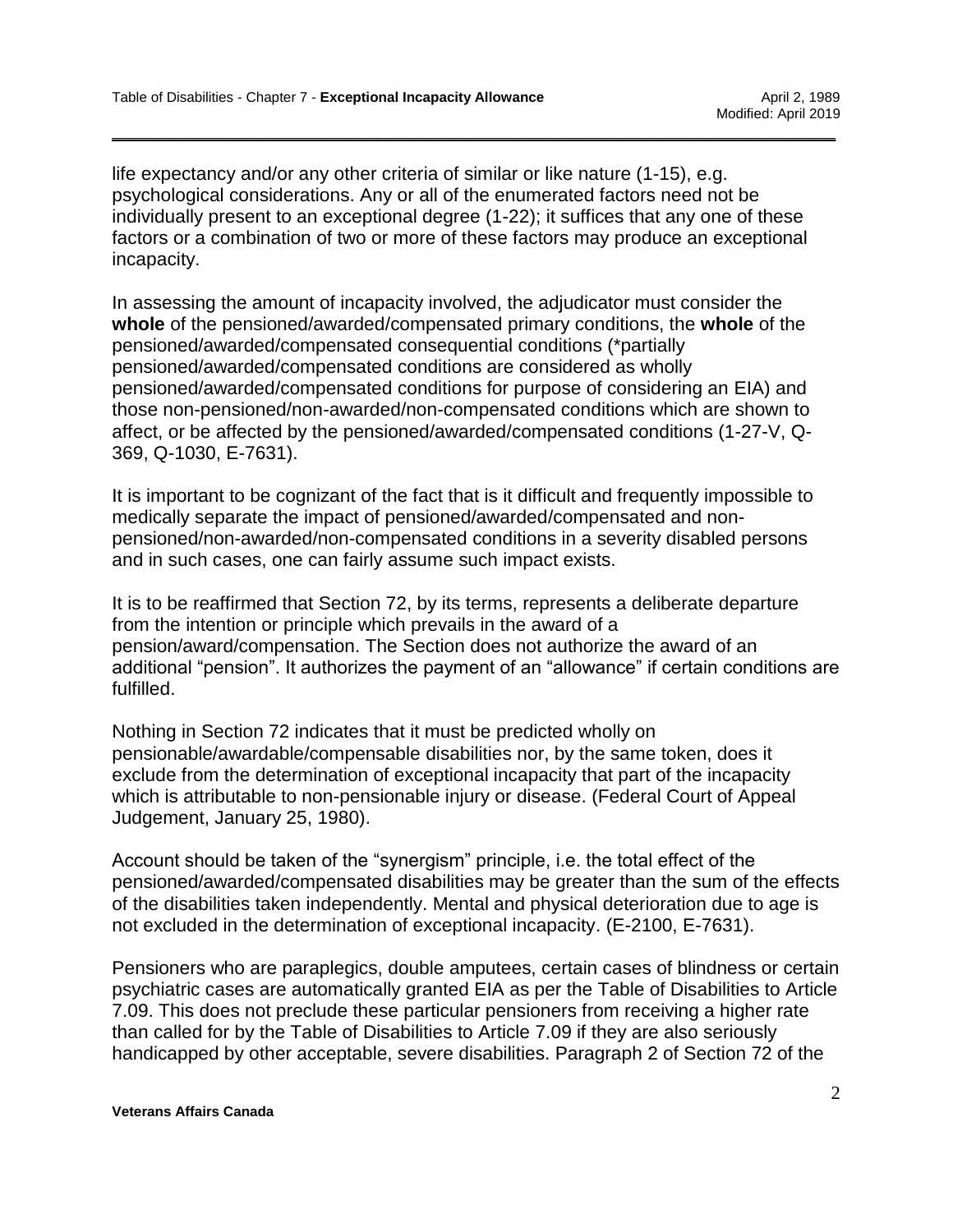life expectancy and/or any other criteria of similar or like nature (1-15), e.g. psychological considerations. Any or all of the enumerated factors need not be individually present to an exceptional degree (1-22); it suffices that any one of these factors or a combination of two or more of these factors may produce an exceptional incapacity.

\_\_\_\_\_\_\_\_\_\_\_\_\_\_\_\_\_\_\_\_\_\_\_\_\_\_\_\_\_\_\_\_\_\_\_\_\_\_\_\_\_\_\_\_\_\_\_\_\_\_\_\_\_\_\_\_\_\_\_\_\_\_\_\_\_\_\_\_\_\_\_\_\_\_\_\_

In assessing the amount of incapacity involved, the adjudicator must consider the **whole** of the pensioned/awarded/compensated primary conditions, the **whole** of the pensioned/awarded/compensated consequential conditions (\*partially pensioned/awarded/compensated conditions are considered as wholly pensioned/awarded/compensated conditions for purpose of considering an EIA) and those non-pensioned/non-awarded/non-compensated conditions which are shown to affect, or be affected by the pensioned/awarded/compensated conditions (1-27-V, Q-369, Q-1030, E-7631).

It is important to be cognizant of the fact that is it difficult and frequently impossible to medically separate the impact of pensioned/awarded/compensated and nonpensioned/non-awarded/non-compensated conditions in a severity disabled persons and in such cases, one can fairly assume such impact exists.

It is to be reaffirmed that Section 72, by its terms, represents a deliberate departure from the intention or principle which prevails in the award of a pension/award/compensation. The Section does not authorize the award of an additional "pension". It authorizes the payment of an "allowance" if certain conditions are fulfilled.

Nothing in Section 72 indicates that it must be predicted wholly on pensionable/awardable/compensable disabilities nor, by the same token, does it exclude from the determination of exceptional incapacity that part of the incapacity which is attributable to non-pensionable injury or disease. (Federal Court of Appeal Judgement, January 25, 1980).

Account should be taken of the "synergism" principle, i.e. the total effect of the pensioned/awarded/compensated disabilities may be greater than the sum of the effects of the disabilities taken independently. Mental and physical deterioration due to age is not excluded in the determination of exceptional incapacity. (E-2100, E-7631).

Pensioners who are paraplegics, double amputees, certain cases of blindness or certain psychiatric cases are automatically granted EIA as per the Table of Disabilities to Article 7.09. This does not preclude these particular pensioners from receiving a higher rate than called for by the Table of Disabilities to Article 7.09 if they are also seriously handicapped by other acceptable, severe disabilities. Paragraph 2 of Section 72 of the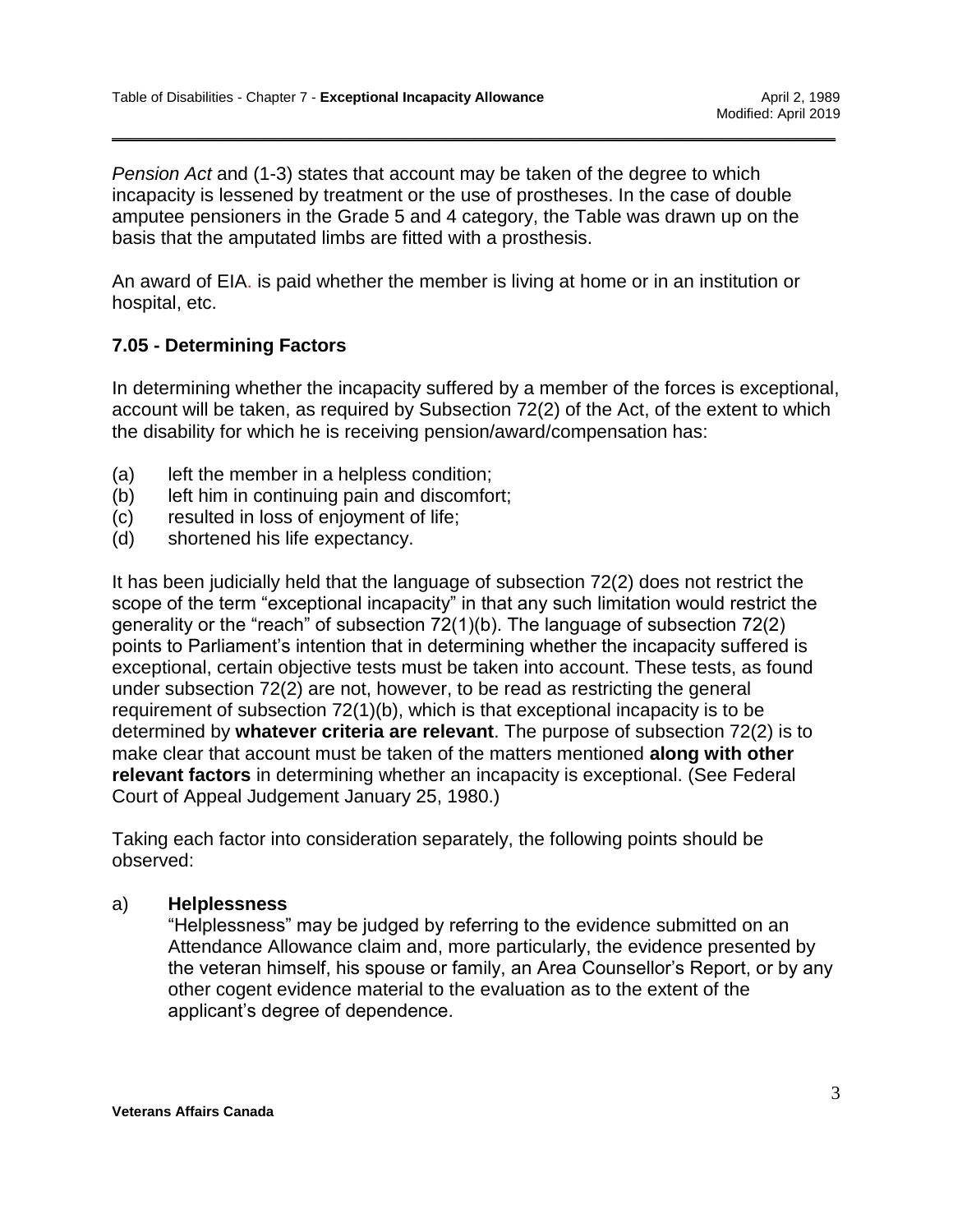*Pension Act* and (1-3) states that account may be taken of the degree to which incapacity is lessened by treatment or the use of prostheses. In the case of double amputee pensioners in the Grade 5 and 4 category, the Table was drawn up on the basis that the amputated limbs are fitted with a prosthesis.

\_\_\_\_\_\_\_\_\_\_\_\_\_\_\_\_\_\_\_\_\_\_\_\_\_\_\_\_\_\_\_\_\_\_\_\_\_\_\_\_\_\_\_\_\_\_\_\_\_\_\_\_\_\_\_\_\_\_\_\_\_\_\_\_\_\_\_\_\_\_\_\_\_\_\_\_

An award of EIA. is paid whether the member is living at home or in an institution or hospital, etc.

## **7.05 - Determining Factors**

In determining whether the incapacity suffered by a member of the forces is exceptional, account will be taken, as required by Subsection 72(2) of the Act, of the extent to which the disability for which he is receiving pension/award/compensation has:

- (a) left the member in a helpless condition;
- (b) left him in continuing pain and discomfort;
- (c) resulted in loss of enjoyment of life;
- (d) shortened his life expectancy.

It has been judicially held that the language of subsection 72(2) does not restrict the scope of the term "exceptional incapacity" in that any such limitation would restrict the generality or the "reach" of subsection 72(1)(b). The language of subsection 72(2) points to Parliament's intention that in determining whether the incapacity suffered is exceptional, certain objective tests must be taken into account. These tests, as found under subsection 72(2) are not, however, to be read as restricting the general requirement of subsection 72(1)(b), which is that exceptional incapacity is to be determined by **whatever criteria are relevant**. The purpose of subsection 72(2) is to make clear that account must be taken of the matters mentioned **along with other relevant factors** in determining whether an incapacity is exceptional. (See Federal Court of Appeal Judgement January 25, 1980.)

Taking each factor into consideration separately, the following points should be observed:

### a) **Helplessness**

"Helplessness" may be judged by referring to the evidence submitted on an Attendance Allowance claim and, more particularly, the evidence presented by the veteran himself, his spouse or family, an Area Counsellor's Report, or by any other cogent evidence material to the evaluation as to the extent of the applicant's degree of dependence.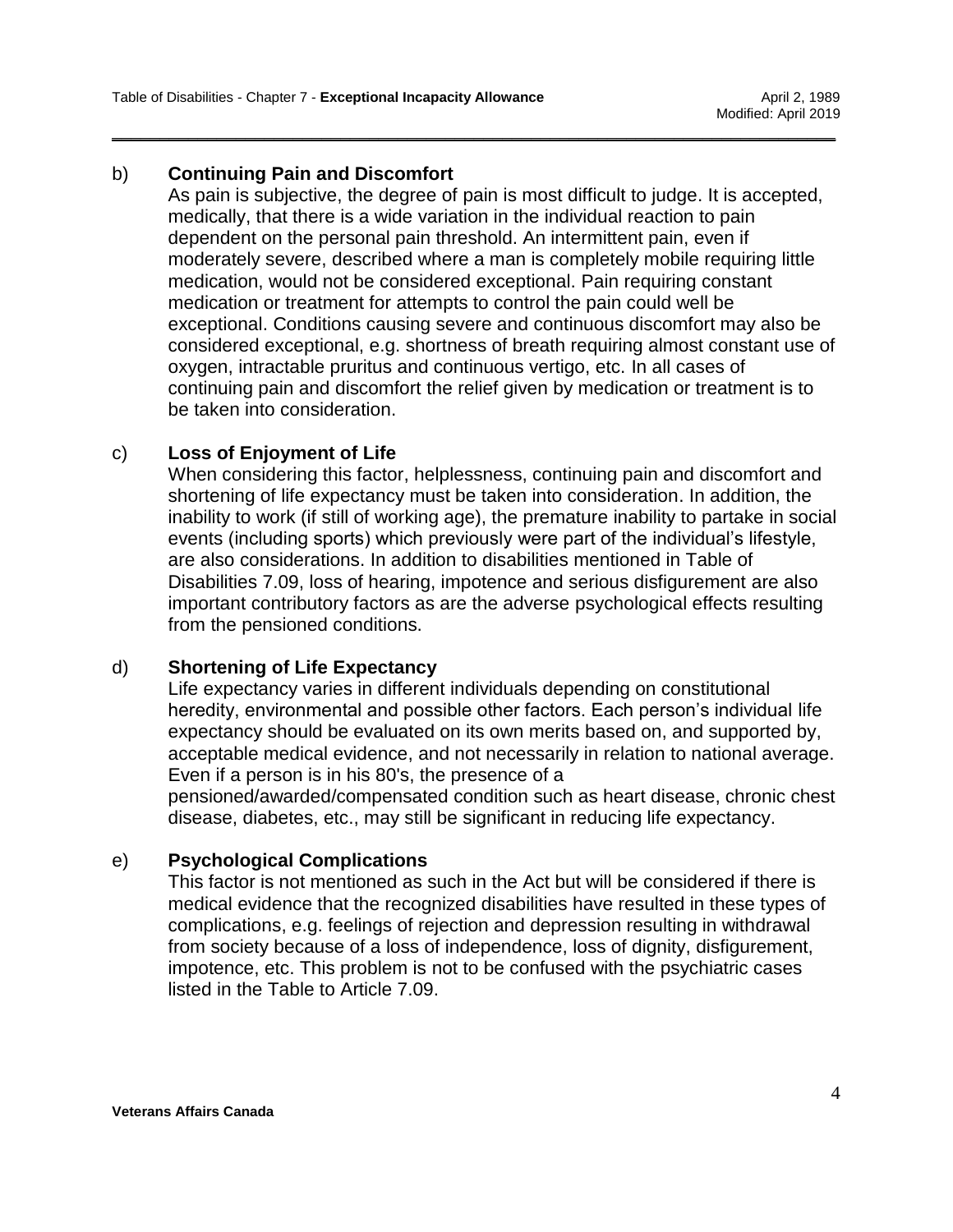### b) **Continuing Pain and Discomfort**

As pain is subjective, the degree of pain is most difficult to judge. It is accepted, medically, that there is a wide variation in the individual reaction to pain dependent on the personal pain threshold. An intermittent pain, even if moderately severe, described where a man is completely mobile requiring little medication, would not be considered exceptional. Pain requiring constant medication or treatment for attempts to control the pain could well be exceptional. Conditions causing severe and continuous discomfort may also be considered exceptional, e.g. shortness of breath requiring almost constant use of oxygen, intractable pruritus and continuous vertigo, etc. In all cases of continuing pain and discomfort the relief given by medication or treatment is to be taken into consideration.

\_\_\_\_\_\_\_\_\_\_\_\_\_\_\_\_\_\_\_\_\_\_\_\_\_\_\_\_\_\_\_\_\_\_\_\_\_\_\_\_\_\_\_\_\_\_\_\_\_\_\_\_\_\_\_\_\_\_\_\_\_\_\_\_\_\_\_\_\_\_\_\_\_\_\_\_

### c) **Loss of Enjoyment of Life**

When considering this factor, helplessness, continuing pain and discomfort and shortening of life expectancy must be taken into consideration. In addition, the inability to work (if still of working age), the premature inability to partake in social events (including sports) which previously were part of the individual's lifestyle, are also considerations. In addition to disabilities mentioned in Table of Disabilities 7.09, loss of hearing, impotence and serious disfigurement are also important contributory factors as are the adverse psychological effects resulting from the pensioned conditions.

### d) **Shortening of Life Expectancy**

Life expectancy varies in different individuals depending on constitutional heredity, environmental and possible other factors. Each person's individual life expectancy should be evaluated on its own merits based on, and supported by, acceptable medical evidence, and not necessarily in relation to national average. Even if a person is in his 80's, the presence of a pensioned/awarded/compensated condition such as heart disease, chronic chest disease, diabetes, etc., may still be significant in reducing life expectancy.

# e) **Psychological Complications**

This factor is not mentioned as such in the Act but will be considered if there is medical evidence that the recognized disabilities have resulted in these types of complications, e.g. feelings of rejection and depression resulting in withdrawal from society because of a loss of independence, loss of dignity, disfigurement, impotence, etc. This problem is not to be confused with the psychiatric cases listed in the Table to Article 7.09.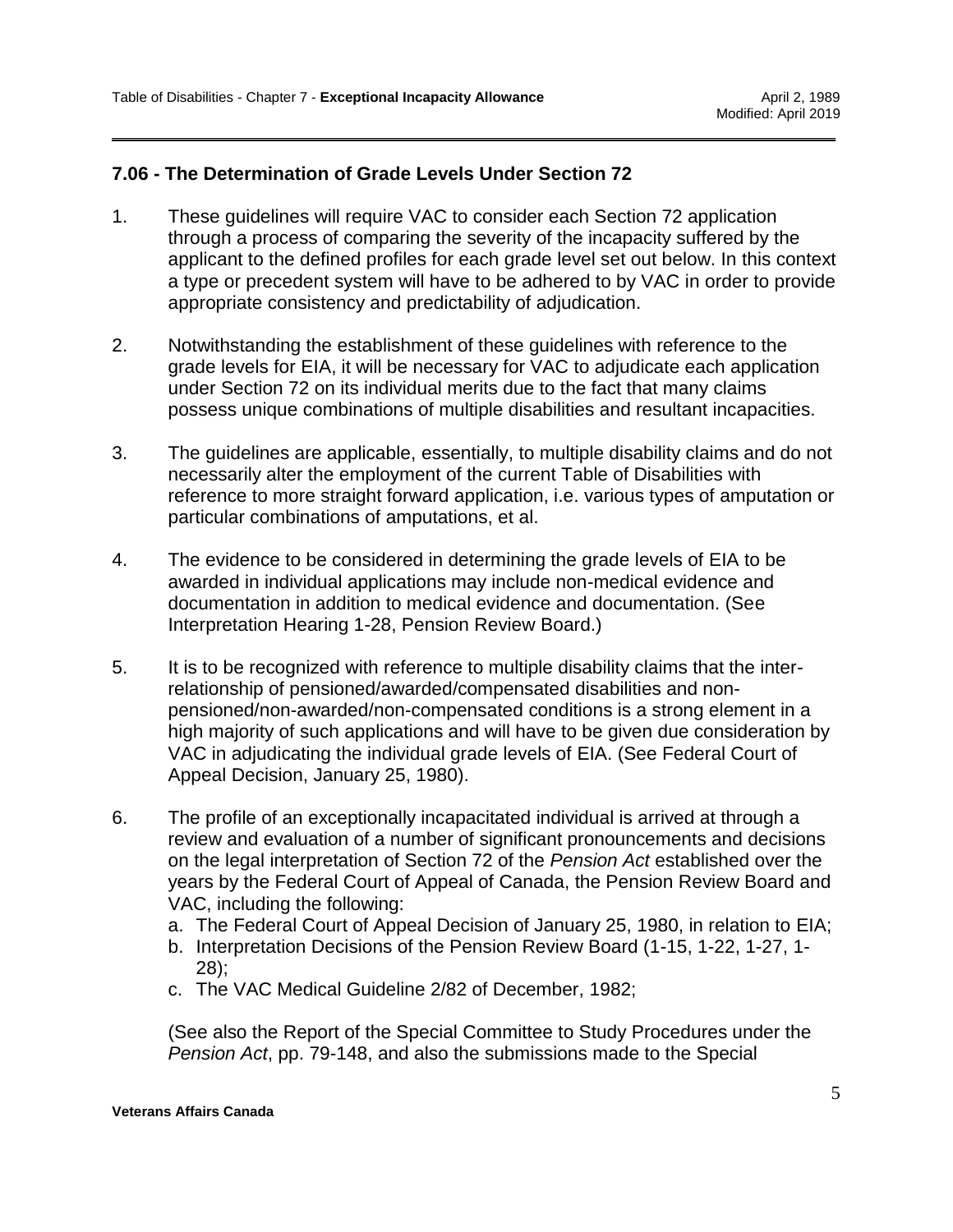### **7.06 - The Determination of Grade Levels Under Section 72**

1. These guidelines will require VAC to consider each Section 72 application through a process of comparing the severity of the incapacity suffered by the applicant to the defined profiles for each grade level set out below. In this context a type or precedent system will have to be adhered to by VAC in order to provide appropriate consistency and predictability of adjudication.

\_\_\_\_\_\_\_\_\_\_\_\_\_\_\_\_\_\_\_\_\_\_\_\_\_\_\_\_\_\_\_\_\_\_\_\_\_\_\_\_\_\_\_\_\_\_\_\_\_\_\_\_\_\_\_\_\_\_\_\_\_\_\_\_\_\_\_\_\_\_\_\_\_\_\_\_

- 2. Notwithstanding the establishment of these guidelines with reference to the grade levels for EIA, it will be necessary for VAC to adjudicate each application under Section 72 on its individual merits due to the fact that many claims possess unique combinations of multiple disabilities and resultant incapacities.
- 3. The guidelines are applicable, essentially, to multiple disability claims and do not necessarily alter the employment of the current Table of Disabilities with reference to more straight forward application, i.e. various types of amputation or particular combinations of amputations, et al.
- 4. The evidence to be considered in determining the grade levels of EIA to be awarded in individual applications may include non-medical evidence and documentation in addition to medical evidence and documentation. (See Interpretation Hearing 1-28, Pension Review Board.)
- 5. It is to be recognized with reference to multiple disability claims that the interrelationship of pensioned/awarded/compensated disabilities and nonpensioned/non-awarded/non-compensated conditions is a strong element in a high majority of such applications and will have to be given due consideration by VAC in adjudicating the individual grade levels of EIA. (See Federal Court of Appeal Decision, January 25, 1980).
- 6. The profile of an exceptionally incapacitated individual is arrived at through a review and evaluation of a number of significant pronouncements and decisions on the legal interpretation of Section 72 of the *Pension Act* established over the years by the Federal Court of Appeal of Canada, the Pension Review Board and VAC, including the following:
	- a. The Federal Court of Appeal Decision of January 25, 1980, in relation to EIA;
	- b. Interpretation Decisions of the Pension Review Board (1-15, 1-22, 1-27, 1- 28);
	- c. The VAC Medical Guideline 2/82 of December, 1982;

(See also the Report of the Special Committee to Study Procedures under the *Pension Act*, pp. 79-148, and also the submissions made to the Special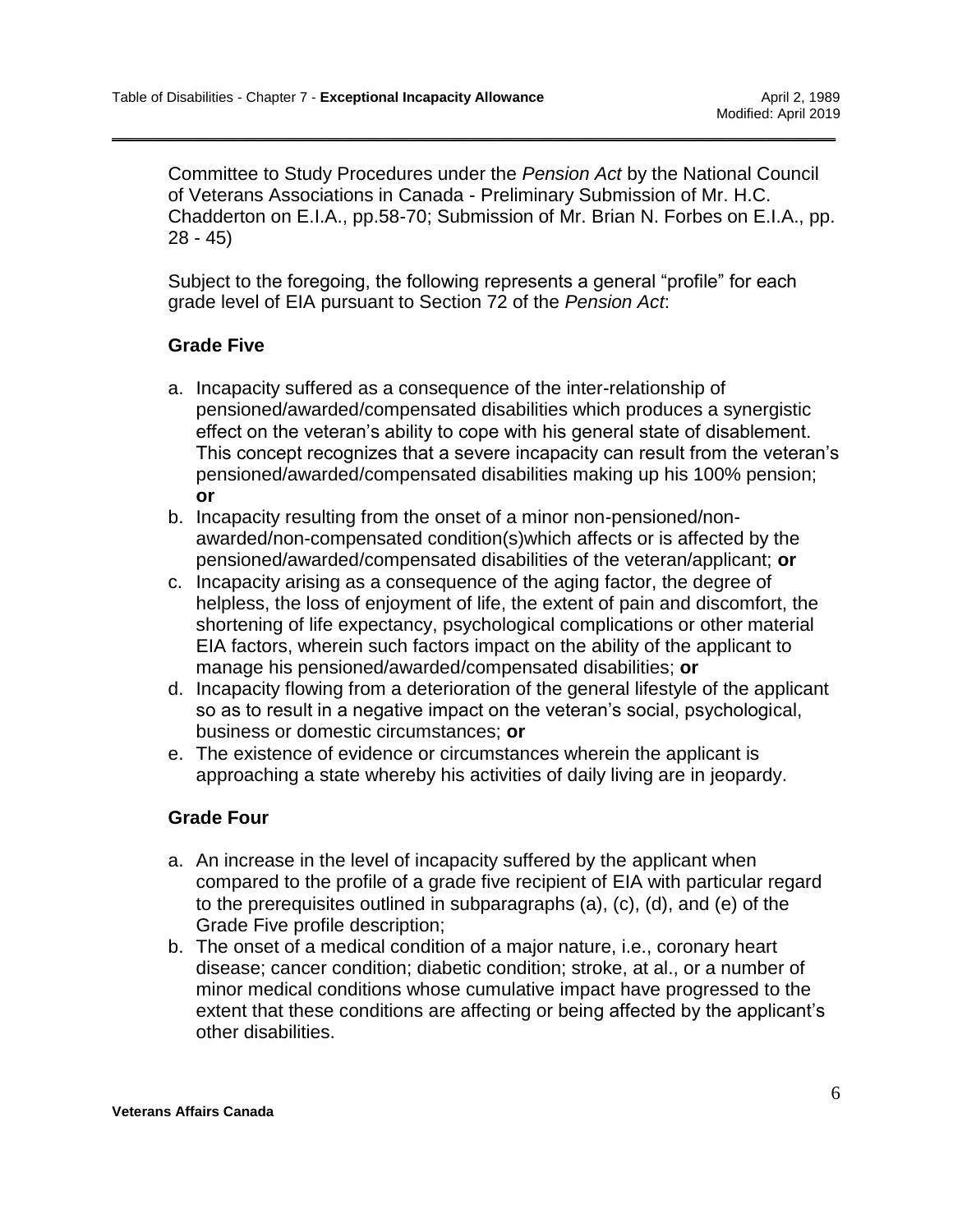Committee to Study Procedures under the *Pension Act* by the National Council of Veterans Associations in Canada - Preliminary Submission of Mr. H.C. Chadderton on E.I.A., pp.58-70; Submission of Mr. Brian N. Forbes on E.I.A., pp. 28 - 45)

Subject to the foregoing, the following represents a general "profile" for each grade level of EIA pursuant to Section 72 of the *Pension Act*:

\_\_\_\_\_\_\_\_\_\_\_\_\_\_\_\_\_\_\_\_\_\_\_\_\_\_\_\_\_\_\_\_\_\_\_\_\_\_\_\_\_\_\_\_\_\_\_\_\_\_\_\_\_\_\_\_\_\_\_\_\_\_\_\_\_\_\_\_\_\_\_\_\_\_\_\_

### **Grade Five**

- a. Incapacity suffered as a consequence of the inter-relationship of pensioned/awarded/compensated disabilities which produces a synergistic effect on the veteran's ability to cope with his general state of disablement. This concept recognizes that a severe incapacity can result from the veteran's pensioned/awarded/compensated disabilities making up his 100% pension; **or**
- b. Incapacity resulting from the onset of a minor non-pensioned/nonawarded/non-compensated condition(s)which affects or is affected by the pensioned/awarded/compensated disabilities of the veteran/applicant; **or**
- c. Incapacity arising as a consequence of the aging factor, the degree of helpless, the loss of enjoyment of life, the extent of pain and discomfort, the shortening of life expectancy, psychological complications or other material EIA factors, wherein such factors impact on the ability of the applicant to manage his pensioned/awarded/compensated disabilities; **or**
- d. Incapacity flowing from a deterioration of the general lifestyle of the applicant so as to result in a negative impact on the veteran's social, psychological, business or domestic circumstances; **or**
- e. The existence of evidence or circumstances wherein the applicant is approaching a state whereby his activities of daily living are in jeopardy.

### **Grade Four**

- a. An increase in the level of incapacity suffered by the applicant when compared to the profile of a grade five recipient of EIA with particular regard to the prerequisites outlined in subparagraphs (a), (c), (d), and (e) of the Grade Five profile description;
- b. The onset of a medical condition of a major nature, i.e., coronary heart disease; cancer condition; diabetic condition; stroke, at al., or a number of minor medical conditions whose cumulative impact have progressed to the extent that these conditions are affecting or being affected by the applicant's other disabilities.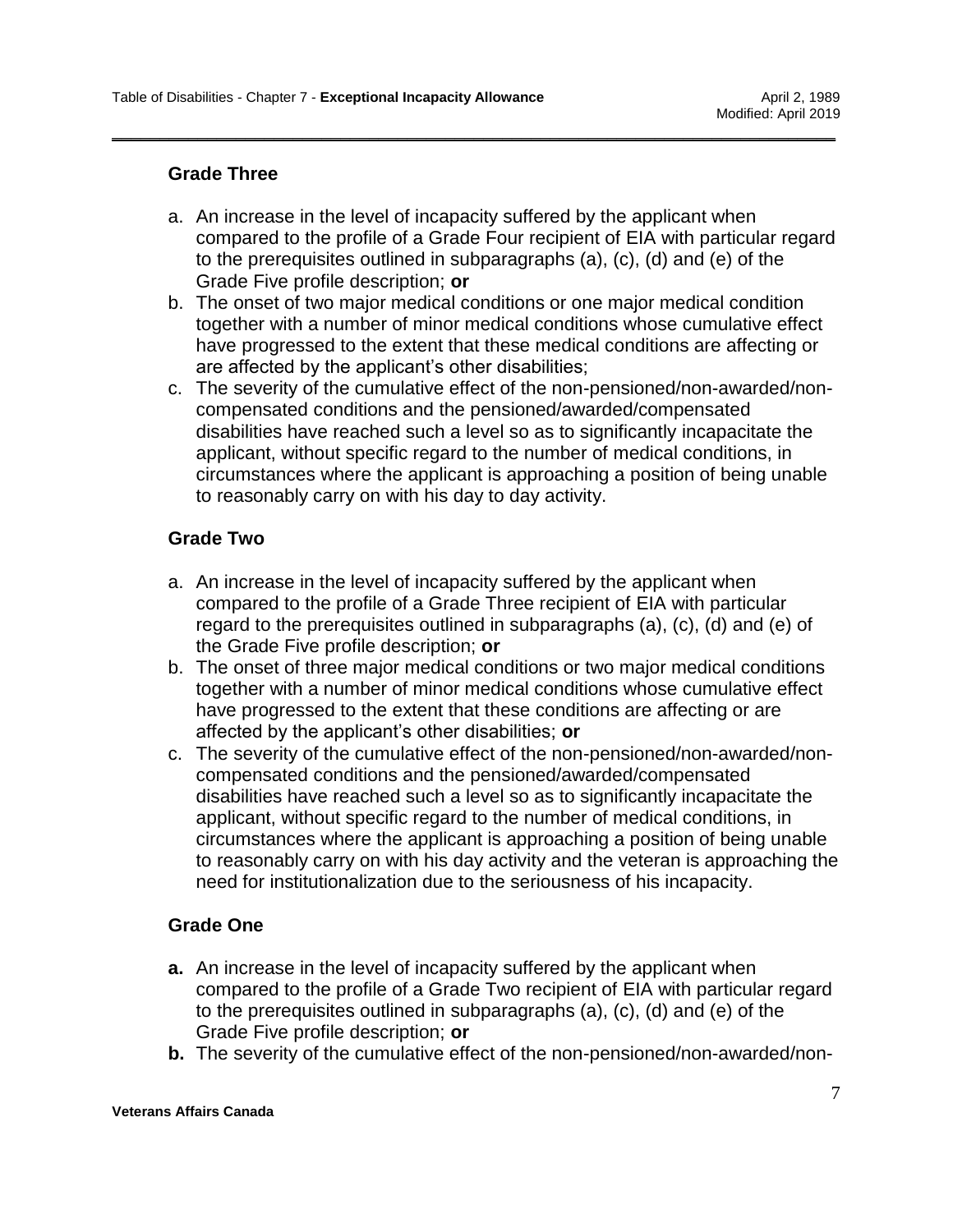### **Grade Three**

a. An increase in the level of incapacity suffered by the applicant when compared to the profile of a Grade Four recipient of EIA with particular regard to the prerequisites outlined in subparagraphs (a), (c), (d) and (e) of the Grade Five profile description; **or**

\_\_\_\_\_\_\_\_\_\_\_\_\_\_\_\_\_\_\_\_\_\_\_\_\_\_\_\_\_\_\_\_\_\_\_\_\_\_\_\_\_\_\_\_\_\_\_\_\_\_\_\_\_\_\_\_\_\_\_\_\_\_\_\_\_\_\_\_\_\_\_\_\_\_\_\_

- b. The onset of two major medical conditions or one major medical condition together with a number of minor medical conditions whose cumulative effect have progressed to the extent that these medical conditions are affecting or are affected by the applicant's other disabilities;
- c. The severity of the cumulative effect of the non-pensioned/non-awarded/noncompensated conditions and the pensioned/awarded/compensated disabilities have reached such a level so as to significantly incapacitate the applicant, without specific regard to the number of medical conditions, in circumstances where the applicant is approaching a position of being unable to reasonably carry on with his day to day activity.

### **Grade Two**

- a. An increase in the level of incapacity suffered by the applicant when compared to the profile of a Grade Three recipient of EIA with particular regard to the prerequisites outlined in subparagraphs (a), (c), (d) and (e) of the Grade Five profile description; **or**
- b. The onset of three major medical conditions or two major medical conditions together with a number of minor medical conditions whose cumulative effect have progressed to the extent that these conditions are affecting or are affected by the applicant's other disabilities; **or**
- c. The severity of the cumulative effect of the non-pensioned/non-awarded/noncompensated conditions and the pensioned/awarded/compensated disabilities have reached such a level so as to significantly incapacitate the applicant, without specific regard to the number of medical conditions, in circumstances where the applicant is approaching a position of being unable to reasonably carry on with his day activity and the veteran is approaching the need for institutionalization due to the seriousness of his incapacity.

### **Grade One**

- **a.** An increase in the level of incapacity suffered by the applicant when compared to the profile of a Grade Two recipient of EIA with particular regard to the prerequisites outlined in subparagraphs (a), (c), (d) and (e) of the Grade Five profile description; **or**
- **b.** The severity of the cumulative effect of the non-pensioned/non-awarded/non-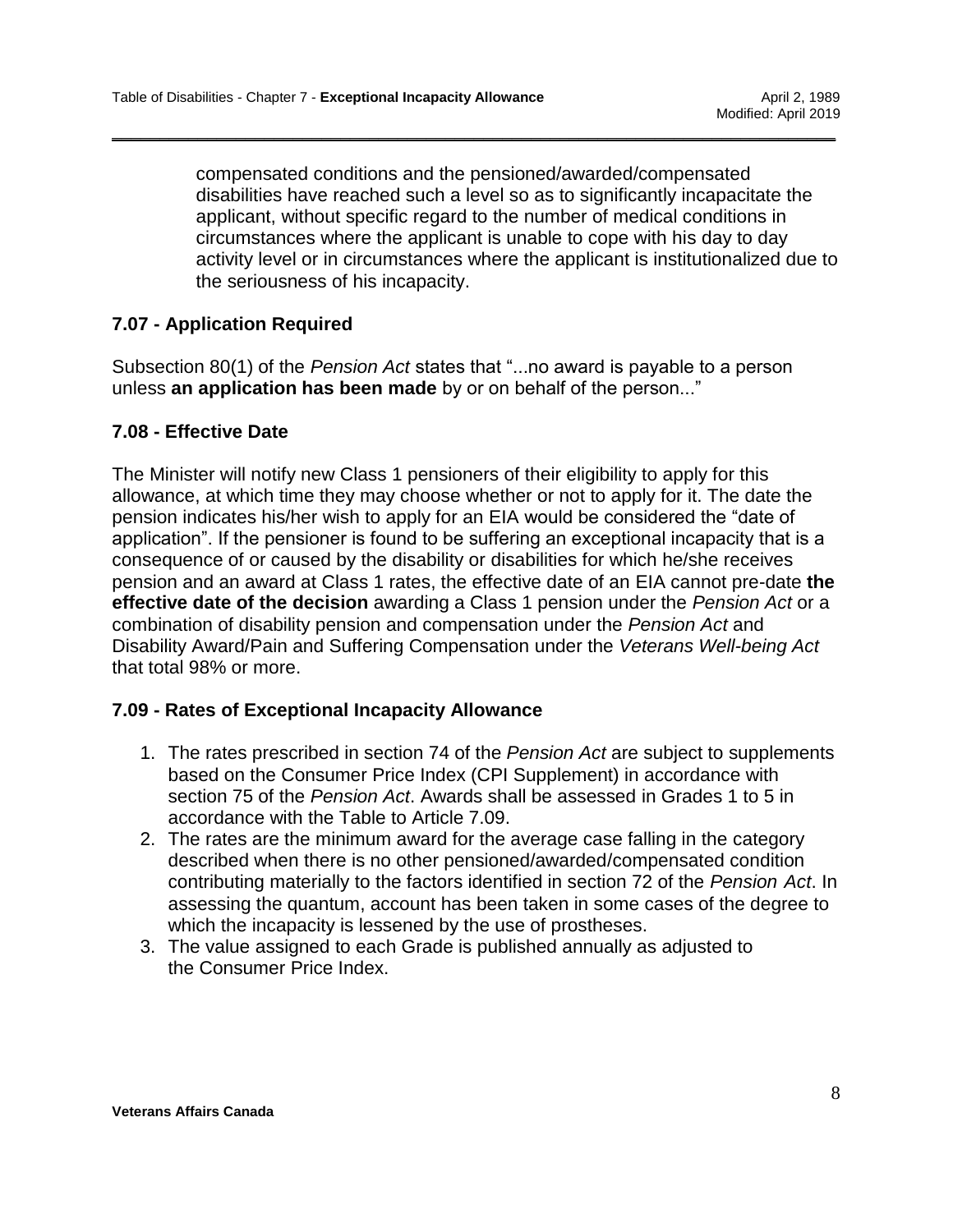compensated conditions and the pensioned/awarded/compensated disabilities have reached such a level so as to significantly incapacitate the applicant, without specific regard to the number of medical conditions in circumstances where the applicant is unable to cope with his day to day activity level or in circumstances where the applicant is institutionalized due to the seriousness of his incapacity.

\_\_\_\_\_\_\_\_\_\_\_\_\_\_\_\_\_\_\_\_\_\_\_\_\_\_\_\_\_\_\_\_\_\_\_\_\_\_\_\_\_\_\_\_\_\_\_\_\_\_\_\_\_\_\_\_\_\_\_\_\_\_\_\_\_\_\_\_\_\_\_\_\_\_\_\_

## **7.07 - Application Required**

Subsection 80(1) of the *Pension Act* states that "...no award is payable to a person unless **an application has been made** by or on behalf of the person..."

### **7.08 - Effective Date**

The Minister will notify new Class 1 pensioners of their eligibility to apply for this allowance, at which time they may choose whether or not to apply for it. The date the pension indicates his/her wish to apply for an EIA would be considered the "date of application". If the pensioner is found to be suffering an exceptional incapacity that is a consequence of or caused by the disability or disabilities for which he/she receives pension and an award at Class 1 rates, the effective date of an EIA cannot pre-date **the effective date of the decision** awarding a Class 1 pension under the *Pension Act* or a combination of disability pension and compensation under the *Pension Act* and Disability Award/Pain and Suffering Compensation under the *Veterans Well-being Act* that total 98% or more.

### **7.09 - Rates of Exceptional Incapacity Allowance**

- 1. The rates prescribed in section 74 of the *Pension Act* are subject to supplements based on the Consumer Price Index (CPI Supplement) in accordance with section 75 of the *Pension Act*. Awards shall be assessed in Grades 1 to 5 in accordance with the Table to Article 7.09.
- 2. The rates are the minimum award for the average case falling in the category described when there is no other pensioned/awarded/compensated condition contributing materially to the factors identified in section 72 of the *Pension Act*. In assessing the quantum, account has been taken in some cases of the degree to which the incapacity is lessened by the use of prostheses.
- 3. The value assigned to each Grade is published annually as adjusted to the Consumer Price Index.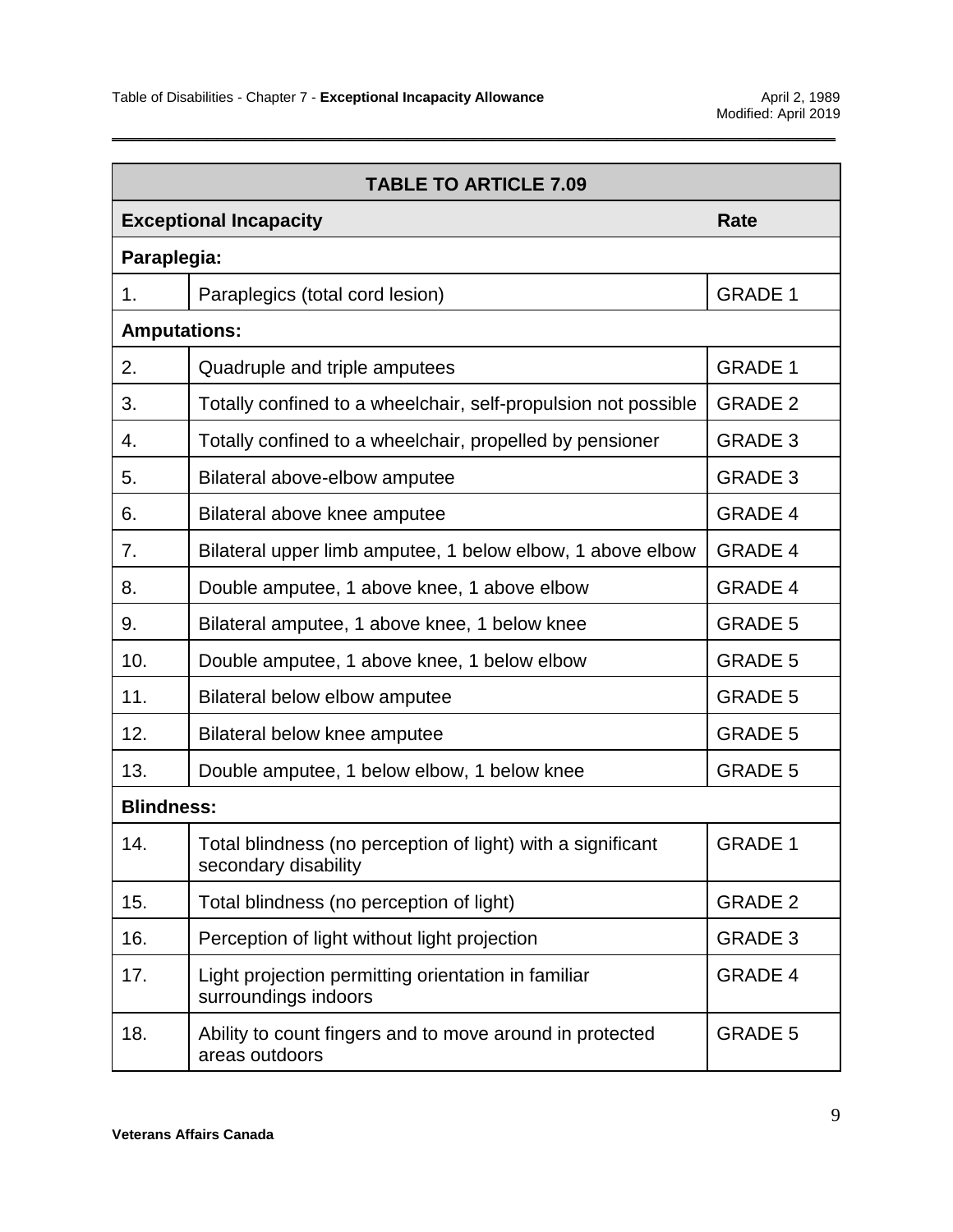| <b>TABLE TO ARTICLE 7.09</b>  |                                                                                     |                |  |
|-------------------------------|-------------------------------------------------------------------------------------|----------------|--|
| <b>Exceptional Incapacity</b> |                                                                                     | <b>Rate</b>    |  |
| Paraplegia:                   |                                                                                     |                |  |
| 1.                            | Paraplegics (total cord lesion)                                                     | <b>GRADE 1</b> |  |
| <b>Amputations:</b>           |                                                                                     |                |  |
| 2.                            | Quadruple and triple amputees                                                       | <b>GRADE 1</b> |  |
| 3.                            | Totally confined to a wheelchair, self-propulsion not possible                      | <b>GRADE 2</b> |  |
| 4.                            | Totally confined to a wheelchair, propelled by pensioner                            | <b>GRADE 3</b> |  |
| 5.                            | Bilateral above-elbow amputee                                                       | <b>GRADE 3</b> |  |
| 6.                            | Bilateral above knee amputee                                                        | <b>GRADE 4</b> |  |
| 7.                            | Bilateral upper limb amputee, 1 below elbow, 1 above elbow                          | <b>GRADE 4</b> |  |
| 8.                            | Double amputee, 1 above knee, 1 above elbow                                         | <b>GRADE 4</b> |  |
| 9.                            | Bilateral amputee, 1 above knee, 1 below knee                                       | <b>GRADE 5</b> |  |
| 10.                           | Double amputee, 1 above knee, 1 below elbow                                         | <b>GRADE 5</b> |  |
| 11.                           | Bilateral below elbow amputee                                                       | <b>GRADE 5</b> |  |
| 12.                           | Bilateral below knee amputee                                                        | <b>GRADE 5</b> |  |
| 13.                           | Double amputee, 1 below elbow, 1 below knee                                         | <b>GRADE 5</b> |  |
| <b>Blindness:</b>             |                                                                                     |                |  |
| 14.                           | Total blindness (no perception of light) with a significant<br>secondary disability | <b>GRADE 1</b> |  |
| 15.                           | Total blindness (no perception of light)                                            | <b>GRADE 2</b> |  |
| 16.                           | Perception of light without light projection                                        | <b>GRADE 3</b> |  |
| 17.                           | Light projection permitting orientation in familiar<br>surroundings indoors         | <b>GRADE 4</b> |  |
| 18.                           | Ability to count fingers and to move around in protected<br>areas outdoors          | <b>GRADE 5</b> |  |

\_\_\_\_\_\_\_\_\_\_\_\_\_\_\_\_\_\_\_\_\_\_\_\_\_\_\_\_\_\_\_\_\_\_\_\_\_\_\_\_\_\_\_\_\_\_\_\_\_\_\_\_\_\_\_\_\_\_\_\_\_\_\_\_\_\_\_\_\_\_\_\_\_\_\_\_